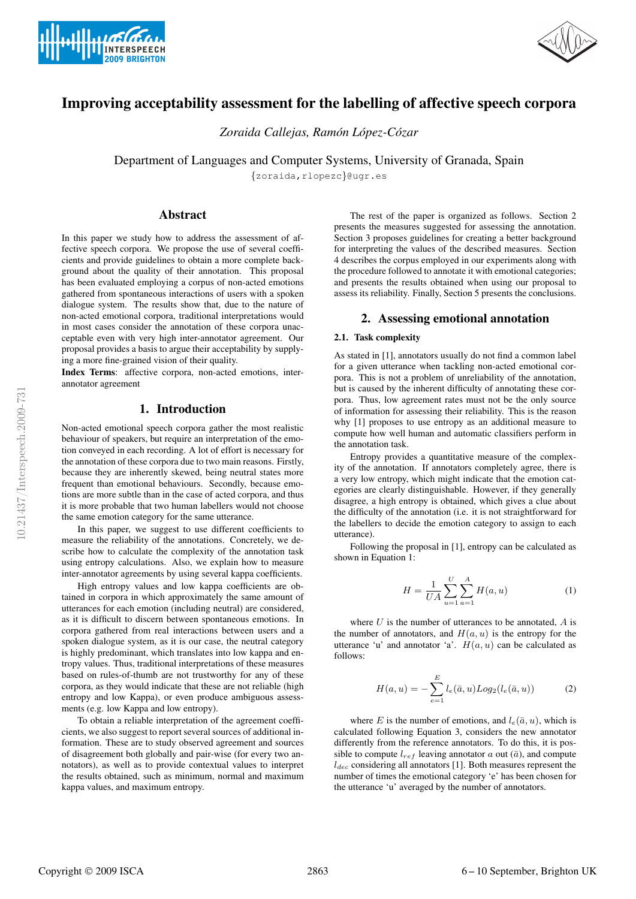



# Improving acceptability assessment for the labelling of affective speech corpora

*Zoraida Callejas, Ramon L ´ opez-C ´ ozar ´*

Department of Languages and Computer Systems, University of Granada, Spain

{zoraida,rlopezc}@ugr.es

# Abstract

In this paper we study how to address the assessment of affective speech corpora. We propose the use of several coefficients and provide guidelines to obtain a more complete background about the quality of their annotation. This proposal has been evaluated employing a corpus of non-acted emotions gathered from spontaneous interactions of users with a spoken dialogue system. The results show that, due to the nature of non-acted emotional corpora, traditional interpretations would in most cases consider the annotation of these corpora unacceptable even with very high inter-annotator agreement. Our proposal provides a basis to argue their acceptability by supplying a more fine-grained vision of their quality.

Index Terms: affective corpora, non-acted emotions, interannotator agreement

# 1. Introduction

Non-acted emotional speech corpora gather the most realistic behaviour of speakers, but require an interpretation of the emotion conveyed in each recording. A lot of effort is necessary for the annotation of these corpora due to two main reasons. Firstly, because they are inherently skewed, being neutral states more frequent than emotional behaviours. Secondly, because emotions are more subtle than in the case of acted corpora, and thus it is more probable that two human labellers would not choose the same emotion category for the same utterance.

In this paper, we suggest to use different coefficients to measure the reliability of the annotations. Concretely, we describe how to calculate the complexity of the annotation task using entropy calculations. Also, we explain how to measure inter-annotator agreements by using several kappa coefficients.

High entropy values and low kappa coefficients are obtained in corpora in which approximately the same amount of utterances for each emotion (including neutral) are considered, as it is difficult to discern between spontaneous emotions. In corpora gathered from real interactions between users and a spoken dialogue system, as it is our case, the neutral category is highly predominant, which translates into low kappa and entropy values. Thus, traditional interpretations of these measures based on rules-of-thumb are not trustworthy for any of these corpora, as they would indicate that these are not reliable (high entropy and low Kappa), or even produce ambiguous assessments (e.g. low Kappa and low entropy).

To obtain a reliable interpretation of the agreement coefficients, we also suggest to report several sources of additional information. These are to study observed agreement and sources of disagreement both globally and pair-wise (for every two annotators), as well as to provide contextual values to interpret the results obtained, such as minimum, normal and maximum kappa values, and maximum entropy.

The rest of the paper is organized as follows. Section 2 presents the measures suggested for assessing the annotation. Section 3 proposes guidelines for creating a better background for interpreting the values of the described measures. Section 4 describes the corpus employed in our experiments along with the procedure followed to annotate it with emotional categories; and presents the results obtained when using our proposal to assess its reliability. Finally, Section 5 presents the conclusions.

# 2. Assessing emotional annotation

### 2.1. Task complexity

As stated in [1], annotators usually do not find a common label for a given utterance when tackling non-acted emotional corpora. This is not a problem of unreliability of the annotation, but is caused by the inherent difficulty of annotating these corpora. Thus, low agreement rates must not be the only source of information for assessing their reliability. This is the reason why [1] proposes to use entropy as an additional measure to compute how well human and automatic classifiers perform in the annotation task.

Entropy provides a quantitative measure of the complexity of the annotation. If annotators completely agree, there is a very low entropy, which might indicate that the emotion categories are clearly distinguishable. However, if they generally disagree, a high entropy is obtained, which gives a clue about the difficulty of the annotation (i.e. it is not straightforward for the labellers to decide the emotion category to assign to each utterance).

Following the proposal in [1], entropy can be calculated as shown in Equation 1:

$$
H = \frac{1}{UA} \sum_{u=1}^{U} \sum_{a=1}^{A} H(a, u)
$$
 (1)

where  $U$  is the number of utterances to be annotated,  $A$  is the number of annotators, and  $H(a, u)$  is the entropy for the utterance 'u' and annotator 'a'.  $H(a, u)$  can be calculated as follows:

$$
H(a, u) = -\sum_{e=1}^{E} l_e(\bar{a}, u) Log_2(l_e(\bar{a}, u))
$$
 (2)

where E is the number of emotions, and  $l_e(\bar{a}, u)$ , which is calculated following Equation 3, considers the new annotator differently from the reference annotators. To do this, it is possible to compute  $l_{ref}$  leaving annotator a out ( $\bar{a}$ ), and compute  $l_{dec}$  considering all annotators [1]. Both measures represent the number of times the emotional category 'e' has been chosen for the utterance 'u' averaged by the number of annotators.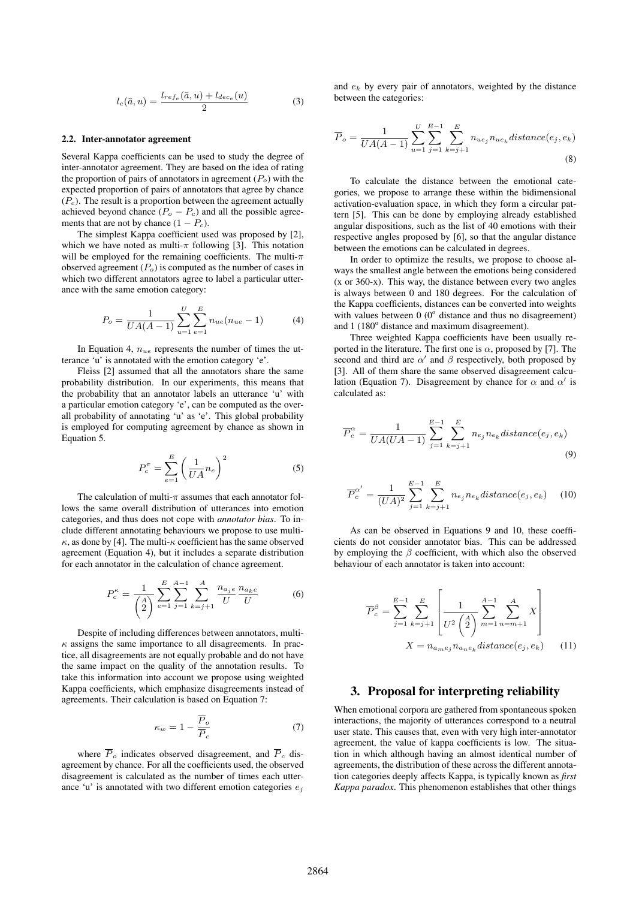$$
l_e(\bar{a}, u) = \frac{l_{ref_e}(\bar{a}, u) + l_{dec_e}(u)}{2} \tag{3}
$$

### 2.2. Inter-annotator agreement

Several Kappa coefficients can be used to study the degree of inter-annotator agreement. They are based on the idea of rating the proportion of pairs of annotators in agreement  $(P<sub>o</sub>)$  with the expected proportion of pairs of annotators that agree by chance  $(P_c)$ . The result is a proportion between the agreement actually achieved beyond chance  $(P_o - P_c)$  and all the possible agreements that are not by chance  $(1 - P_c)$ .

The simplest Kappa coefficient used was proposed by [2], which we have noted as multi- $\pi$  following [3]. This notation will be employed for the remaining coefficients. The multi- $\pi$ observed agreement  $(P<sub>o</sub>)$  is computed as the number of cases in which two different annotators agree to label a particular utterance with the same emotion category:

$$
P_o = \frac{1}{UA(A-1)} \sum_{u=1}^{U} \sum_{e=1}^{E} n_{ue}(n_{ue} - 1)
$$
 (4)

In Equation 4,  $n_{ue}$  represents the number of times the utterance 'u' is annotated with the emotion category 'e'.

Fleiss [2] assumed that all the annotators share the same probability distribution. In our experiments, this means that the probability that an annotator labels an utterance 'u' with a particular emotion category 'e', can be computed as the overall probability of annotating 'u' as 'e'. This global probability is employed for computing agreement by chance as shown in Equation 5.

$$
P_c^{\pi} = \sum_{e=1}^{E} \left(\frac{1}{UA} n_e\right)^2 \tag{5}
$$

The calculation of multi- $\pi$  assumes that each annotator follows the same overall distribution of utterances into emotion categories, and thus does not cope with *annotator bias*. To include different annotating behaviours we propose to use multi- $\kappa$ , as done by [4]. The multi- $\kappa$  coefficient has the same observed agreement (Equation 4), but it includes a separate distribution for each annotator in the calculation of chance agreement.

$$
P_c^{\kappa} = \frac{1}{\binom{A}{2}} \sum_{e=1}^{E} \sum_{j=1}^{A-1} \sum_{k=j+1}^{A} \frac{n_{a_j e}}{U} \frac{n_{a_k e}}{U}
$$
 (6)

Despite of including differences between annotators, multi- $\kappa$  assigns the same importance to all disagreements. In practice, all disagreements are not equally probable and do not have the same impact on the quality of the annotation results. To take this information into account we propose using weighted Kappa coefficients, which emphasize disagreements instead of agreements. Their calculation is based on Equation 7:

$$
\kappa_w = 1 - \frac{\overline{P}_o}{\overline{P}_c} \tag{7}
$$

where  $\overline{P}_o$  indicates observed disagreement, and  $\overline{P}_c$  disagreement by chance. For all the coefficients used, the observed disagreement is calculated as the number of times each utterance 'u' is annotated with two different emotion categories  $e_i$ 

and  $e_k$  by every pair of annotators, weighted by the distance between the categories:

$$
\overline{P}_{o} = \frac{1}{UA(A-1)} \sum_{u=1}^{U} \sum_{j=1}^{E-1} \sum_{k=j+1}^{E} n_{ue_j} n_{ue_k} distance(e_j, e_k)
$$
\n(8)

To calculate the distance between the emotional categories, we propose to arrange these within the bidimensional activation-evaluation space, in which they form a circular pattern [5]. This can be done by employing already established angular dispositions, such as the list of 40 emotions with their respective angles proposed by [6], so that the angular distance between the emotions can be calculated in degrees.

In order to optimize the results, we propose to choose always the smallest angle between the emotions being considered (x or 360-x). This way, the distance between every two angles is always between 0 and 180 degrees. For the calculation of the Kappa coefficients, distances can be converted into weights with values between  $0~(0^{\circ}$  distance and thus no disagreement) and 1 (180° distance and maximum disagreement).

Three weighted Kappa coefficients have been usually reported in the literature. The first one is  $\alpha$ , proposed by [7]. The second and third are  $\alpha'$  and  $\beta$  respectively, both proposed by [3]. All of them share the same observed disagreement calculation (Equation 7). Disagreement by chance for  $\alpha$  and  $\alpha'$  is calculated as:

$$
\overline{P}_c^{\alpha} = \frac{1}{UA(UA-1)} \sum_{j=1}^{E-1} \sum_{k=j+1}^{E} n_{e_j} n_{e_k} \, distance(e_j, e_k)
$$
\n
$$
\tag{9}
$$

$$
\overline{P}_c^{\alpha'} = \frac{1}{(UA)^2} \sum_{j=1}^{E-1} \sum_{k=j+1}^{E} n_{e_j} n_{e_k} \, distance(e_j, e_k) \tag{10}
$$

As can be observed in Equations 9 and 10, these coefficients do not consider annotator bias. This can be addressed by employing the  $\beta$  coefficient, with which also the observed behaviour of each annotator is taken into account:

$$
\overline{P}_c^{\beta} = \sum_{j=1}^{E-1} \sum_{k=j+1}^{E} \left[ \frac{1}{U^2 \binom{A}{2}} \sum_{m=1}^{A-1} \sum_{n=m+1}^{A} X \right]
$$

$$
X = n_{a_m e_j} n_{a_n e_k} \text{distance}(e_j, e_k) \tag{11}
$$

# 3. Proposal for interpreting reliability

When emotional corpora are gathered from spontaneous spoken interactions, the majority of utterances correspond to a neutral user state. This causes that, even with very high inter-annotator agreement, the value of kappa coefficients is low. The situation in which although having an almost identical number of agreements, the distribution of these across the different annotation categories deeply affects Kappa, is typically known as *first Kappa paradox*. This phenomenon establishes that other things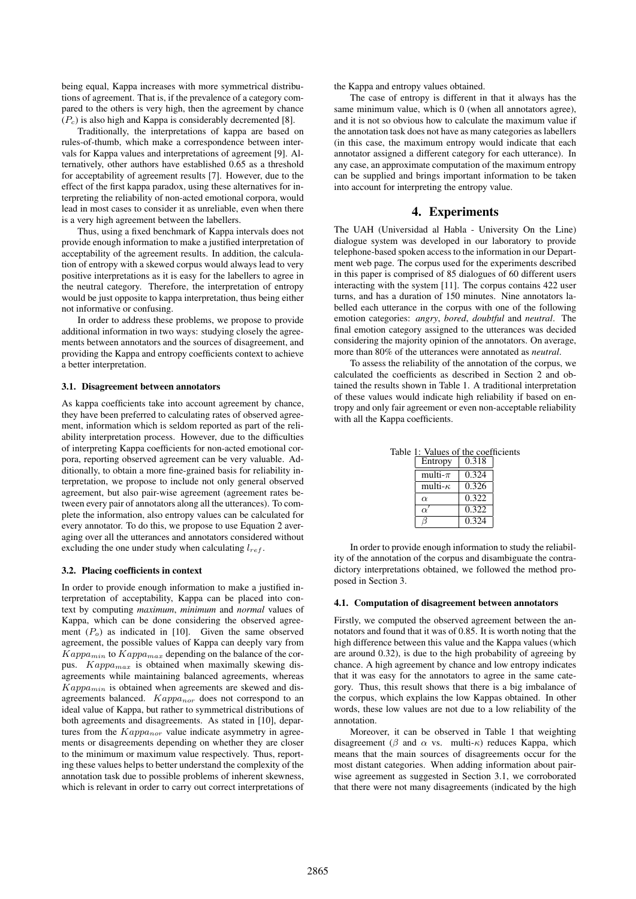being equal, Kappa increases with more symmetrical distributions of agreement. That is, if the prevalence of a category compared to the others is very high, then the agreement by chance  $(P_c)$  is also high and Kappa is considerably decremented [8].

Traditionally, the interpretations of kappa are based on rules-of-thumb, which make a correspondence between intervals for Kappa values and interpretations of agreement [9]. Alternatively, other authors have established 0.65 as a threshold for acceptability of agreement results [7]. However, due to the effect of the first kappa paradox, using these alternatives for interpreting the reliability of non-acted emotional corpora, would lead in most cases to consider it as unreliable, even when there is a very high agreement between the labellers.

Thus, using a fixed benchmark of Kappa intervals does not provide enough information to make a justified interpretation of acceptability of the agreement results. In addition, the calculation of entropy with a skewed corpus would always lead to very positive interpretations as it is easy for the labellers to agree in the neutral category. Therefore, the interpretation of entropy would be just opposite to kappa interpretation, thus being either not informative or confusing.

In order to address these problems, we propose to provide additional information in two ways: studying closely the agreements between annotators and the sources of disagreement, and providing the Kappa and entropy coefficients context to achieve a better interpretation.

#### 3.1. Disagreement between annotators

As kappa coefficients take into account agreement by chance, they have been preferred to calculating rates of observed agreement, information which is seldom reported as part of the reliability interpretation process. However, due to the difficulties of interpreting Kappa coefficients for non-acted emotional corpora, reporting observed agreement can be very valuable. Additionally, to obtain a more fine-grained basis for reliability interpretation, we propose to include not only general observed agreement, but also pair-wise agreement (agreement rates between every pair of annotators along all the utterances). To complete the information, also entropy values can be calculated for every annotator. To do this, we propose to use Equation 2 averaging over all the utterances and annotators considered without excluding the one under study when calculating  $l_{ref}$ .

#### 3.2. Placing coefficients in context

In order to provide enough information to make a justified interpretation of acceptability, Kappa can be placed into context by computing *maximum*, *minimum* and *normal* values of Kappa, which can be done considering the observed agreement  $(P<sub>o</sub>)$  as indicated in [10]. Given the same observed agreement, the possible values of Kappa can deeply vary from  $Kappa_{min}$  to  $Kappa_{max}$  depending on the balance of the corpus.  $Kappa_{max}$  is obtained when maximally skewing disagreements while maintaining balanced agreements, whereas  $Kappa_{\min}$  is obtained when agreements are skewed and disagreements balanced.  $Kappa_{n}$  does not correspond to an ideal value of Kappa, but rather to symmetrical distributions of both agreements and disagreements. As stated in [10], departures from the  $Kappa_{nor}$  value indicate asymmetry in agreements or disagreements depending on whether they are closer to the minimum or maximum value respectively. Thus, reporting these values helps to better understand the complexity of the annotation task due to possible problems of inherent skewness, which is relevant in order to carry out correct interpretations of the Kappa and entropy values obtained.

The case of entropy is different in that it always has the same minimum value, which is 0 (when all annotators agree), and it is not so obvious how to calculate the maximum value if the annotation task does not have as many categories as labellers (in this case, the maximum entropy would indicate that each annotator assigned a different category for each utterance). In any case, an approximate computation of the maximum entropy can be supplied and brings important information to be taken into account for interpreting the entropy value.

# 4. Experiments

The UAH (Universidad al Habla - University On the Line) dialogue system was developed in our laboratory to provide telephone-based spoken access to the information in our Department web page. The corpus used for the experiments described in this paper is comprised of 85 dialogues of 60 different users interacting with the system [11]. The corpus contains 422 user turns, and has a duration of 150 minutes. Nine annotators labelled each utterance in the corpus with one of the following emotion categories: *angry*, *bored*, *doubtful* and *neutral*. The final emotion category assigned to the utterances was decided considering the majority opinion of the annotators. On average, more than 80% of the utterances were annotated as *neutral*.

To assess the reliability of the annotation of the corpus, we calculated the coefficients as described in Section 2 and obtained the results shown in Table 1. A traditional interpretation of these values would indicate high reliability if based on entropy and only fair agreement or even non-acceptable reliability with all the Kappa coefficients.

Table 1: Values of the coefficients

| Entropy         | 0.318 |
|-----------------|-------|
| multi- $\pi$    | 0.324 |
| multi- $\kappa$ | 0.326 |
| $\alpha$        | 0.322 |
|                 | 0.322 |
|                 | 0.324 |

In order to provide enough information to study the reliability of the annotation of the corpus and disambiguate the contradictory interpretations obtained, we followed the method proposed in Section 3.

## 4.1. Computation of disagreement between annotators

Firstly, we computed the observed agreement between the annotators and found that it was of 0.85. It is worth noting that the high difference between this value and the Kappa values (which are around 0.32), is due to the high probability of agreeing by chance. A high agreement by chance and low entropy indicates that it was easy for the annotators to agree in the same category. Thus, this result shows that there is a big imbalance of the corpus, which explains the low Kappas obtained. In other words, these low values are not due to a low reliability of the annotation.

Moreover, it can be observed in Table 1 that weighting disagreement ( $\beta$  and  $\alpha$  vs. multi- $\kappa$ ) reduces Kappa, which means that the main sources of disagreements occur for the most distant categories. When adding information about pairwise agreement as suggested in Section 3.1, we corroborated that there were not many disagreements (indicated by the high